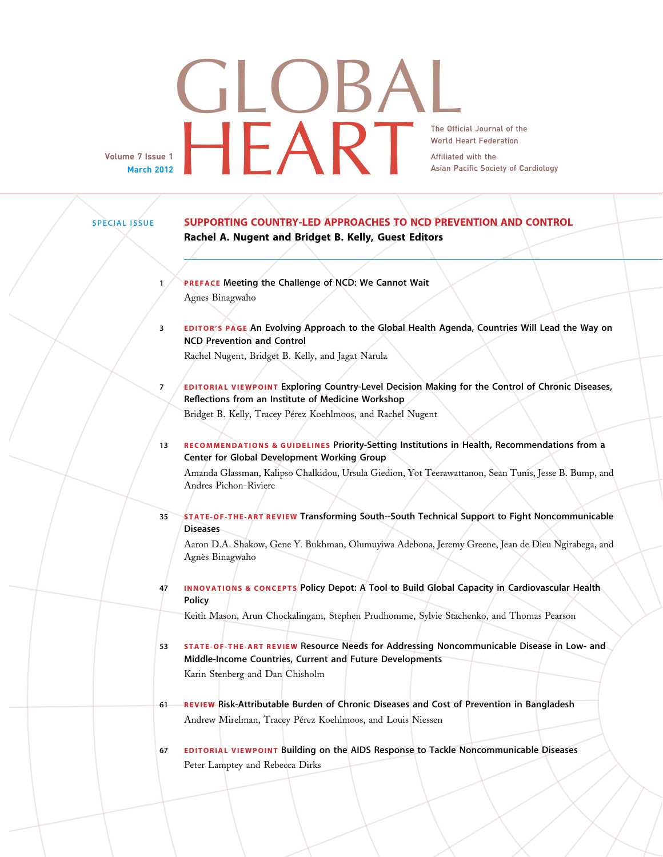## **GLOBAL** The Official Journal of the World Heart Federation<br>Affiliated with the Asian Pacific Society of Ca Asian Pacific Society of Cardiology

Volume 7 Issue 1 March 2012

World Heart Federation Affiliated with the

SPECIAL ISSUE SUPPORTING COUNTRY-LED APPROACHES TO NCD PREVENTION AND CONTROL Rachel A. Nugent and Bridget B. Kelly, Guest Editors 1 PREFACE Meeting the Challenge of NCD: We Cannot Wait Agnes Binagwaho 3 EDITOR'S PAGE An Evolving Approach to the Global Health Agenda, Countries Will Lead the Way on NCD Prevention and Control Rachel Nugent, Bridget B. Kelly, and Jagat Narula 7 **EDITORIAL VIEWPOINT Exploring Country-Level Decision Making for the Control of Chronic Diseases,** Reflections from an Institute of Medicine Workshop Bridget B. Kelly, Tracey Pérez Koehlmoos, and Rachel Nugent 13 RECOMMENDATIONS & GUIDELINES Priority-Setting Institutions in Health, Recommendations from a Center for Global Development Working Group Amanda Glassman, Kalipso Chalkidou, Ursula Giedion, Yot Teerawattanon, Sean Tunis, Jesse B. Bump, and Andres Pichon-Riviere 35 STATE-OF-THE-ART REVIEW Transforming South--South Technical Support to Fight Noncommunicable **Diseases** 

> Aaron D.A. Shakow, Gene Y. Bukhman, Olumuyiwa Adebona, Jeremy Greene, Jean de Dieu Ngirabega, and Agnès Binagwaho

47 INNOVATIONS & CONCEPTS Policy Depot: A Tool to Build Global Capacity in Cardiovascular Health Policy

Keith Mason, Arun Chockalingam, Stephen Prudhomme, Sylvie Stachenko, and Thomas Pearson

- 53 STATE-OF-THE-ART REVIEW Resource Needs for Addressing Noncommunicable Disease in Low- and Middle-Income Countries, Current and Future Developments Karin Stenberg and Dan Chisholm
- 61 REVIEW Risk-Attributable Burden of Chronic Diseases and Cost of Prevention in Bangladesh Andrew Mirelman, Tracey Pérez Koehlmoos, and Louis Niessen
- 67 EDITORIAL VIEWPOINT Building on the AIDS Response to Tackle Noncommunicable Diseases Peter Lamptey and Rebecca Dirks